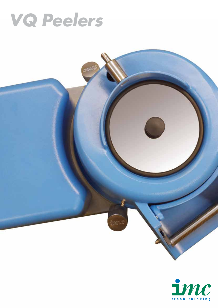# **VQ Peelers**

mun

î

Somut

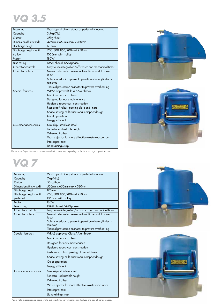## **VQ 3.5**

| Capacity<br>Output<br>Dimensions ( $h \times w \times d$ )<br>Discharge height<br>Discharge heights with | 3.5kg (7lb)<br>35kg/hour<br>425mm x 650mm mgx x 380mm<br>170 <sub>mm</sub><br>750, 800, 850, 900 and 950mm<br>1055mm with trolley<br>180W<br>10A (1 phase); 5A (3 phase)<br>Easy to use integral on/off switch and mechanical timer<br>No-volt release to prevent automatic restart if power |
|----------------------------------------------------------------------------------------------------------|----------------------------------------------------------------------------------------------------------------------------------------------------------------------------------------------------------------------------------------------------------------------------------------------|
|                                                                                                          |                                                                                                                                                                                                                                                                                              |
|                                                                                                          |                                                                                                                                                                                                                                                                                              |
|                                                                                                          |                                                                                                                                                                                                                                                                                              |
|                                                                                                          |                                                                                                                                                                                                                                                                                              |
|                                                                                                          |                                                                                                                                                                                                                                                                                              |
| trolley                                                                                                  |                                                                                                                                                                                                                                                                                              |
| Motor                                                                                                    |                                                                                                                                                                                                                                                                                              |
| Fuse rating                                                                                              |                                                                                                                                                                                                                                                                                              |
| Operator controls                                                                                        |                                                                                                                                                                                                                                                                                              |
| Operator safety                                                                                          |                                                                                                                                                                                                                                                                                              |
|                                                                                                          | is cut                                                                                                                                                                                                                                                                                       |
|                                                                                                          | Safety interlock to prevent operation when cylinder is                                                                                                                                                                                                                                       |
|                                                                                                          | removed                                                                                                                                                                                                                                                                                      |
|                                                                                                          | Thermal protection on motor to prevent overheating                                                                                                                                                                                                                                           |
| Special features                                                                                         | WRAS approved Class AA air-break                                                                                                                                                                                                                                                             |
|                                                                                                          | Quick and easy to clean                                                                                                                                                                                                                                                                      |
|                                                                                                          | Designed for easy maintenance                                                                                                                                                                                                                                                                |
|                                                                                                          | Hygienic, robust cast construction                                                                                                                                                                                                                                                           |
|                                                                                                          | Rust-proof, robust peeling plate and liners                                                                                                                                                                                                                                                  |
|                                                                                                          | Space-saving, multi-functional compact design                                                                                                                                                                                                                                                |
|                                                                                                          | Quiet operation                                                                                                                                                                                                                                                                              |
|                                                                                                          | Energy efficient                                                                                                                                                                                                                                                                             |
| Customer accessories                                                                                     | Sink skip - stainless steel                                                                                                                                                                                                                                                                  |
|                                                                                                          | Pedestal - adjustable height                                                                                                                                                                                                                                                                 |
|                                                                                                          | Wheeled trolley                                                                                                                                                                                                                                                                              |
|                                                                                                          | Waste ejector for more effective waste evacuation                                                                                                                                                                                                                                            |
|                                                                                                          | Interceptor tank                                                                                                                                                                                                                                                                             |
|                                                                                                          | Lid retaining strap                                                                                                                                                                                                                                                                          |
|                                                                                                          |                                                                                                                                                                                                                                                                                              |





Please note: Capacities are approximate and output may vary depending on the type and age of potatoes used.



| Mounting                             | Worktop-, drainer-, stand- or pedestal-mounted                    |
|--------------------------------------|-------------------------------------------------------------------|
| Capacity                             | 7kg (14lb)                                                        |
| Output                               | 50kg/hour                                                         |
| Dimensions ( $h \times w \times d$ ) | $500$ mm $\times$ 650mm max $\times$ 380mm                        |
| Discharge height                     | 170mm                                                             |
| Discharge heights with               | 750, 800, 850, 900 and 950mm                                      |
| pedestal                             | 1055mm with trolley                                               |
| Motor                                | 180W                                                              |
| Fuse rating                          | 10A (1 phase); 5A (3 phase)                                       |
| Operator controls                    | Easy to use integral on/off switch and mechanical timer           |
| Operator safety                      | No-volt release to prevent automatic restart if power<br>is cut   |
|                                      | Safety interlock to prevent operation when cylinder is<br>removed |
|                                      | Thermal protection on motor to prevent overheating                |
| Special features                     | <b>WRAS</b> approved Class AA air-break                           |
|                                      | Quick and easy to clean                                           |
|                                      | Designed for easy maintenance                                     |
|                                      | Hygienic, robust cast construction                                |
|                                      | Rust-proof, robust peeling plate and liners                       |
|                                      | Space-saving, multi-functional compact design                     |
|                                      | Quiet operation                                                   |
|                                      | Energy efficient                                                  |
| Customer accessories                 | Sink skip - stainless steel                                       |
|                                      | Pedestal - adjustable height                                      |
|                                      | Wheeled trolley                                                   |
|                                      | Waste ejector for more effective waste evacuation                 |
|                                      | Interceptor tank                                                  |
|                                      | Lid retaining strap                                               |





Please note: Capacities are approximate and output may vary depending on the type and age of potatoes used.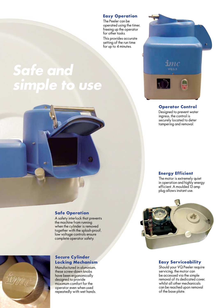#### **Easy Operation**

The Peeler can be operated using the timer, freeing up the operator for other tasks.

This provides accurate setting of the run time for up to 4 minutes.

## **Safe and simple to use**



#### **Operator Control**

Designed to prevent water ingress, the control is securely located to deter tampering and removal.

#### **Energy Efficient**

The motor is extremely quiet in operation and highly energy efficient. A moulded 13 amp plug allows instant use.



# fime

#### **Safe Operation**

A safety interlock that prevents the machine from running when the cylinder is removed together with the splash-proof, low voltage controls ensure complete operator safety.

#### **Secure Cylinder Locking Mechanism**

Manufactured in aluminium, these screw-down knobs have been ergonomically designed to provide maximum comfort for the operator even when used repeatedly with wet hands.

#### **Easy Serviceability**

Should your VQ Peeler require servicing, the motor can be accessed via the simple removal of its dedicated cover, whilst all other mechanicals can be reached upon removal of the base plate.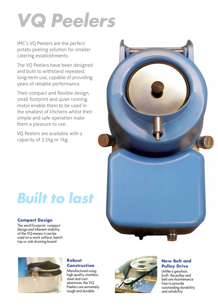# **VQ Peelers**

IMC's VQ Peelers are the perfect potato peeling solution for smaller catering establishments.

The VQ Peelers have been designed and built to withstand repeated, long-term use, capable of providing years of reliable performance.

Their compact and flexible design, small footprint and quiet running motor enable them to be used in the smallest of kitchens whilst their simple and safe operation make them a pleasure to use.

VQ Peelers are available with a capacity of 3.5kg or 7kg.

# **Built to last**

#### **Compact Design**

The small footprint, compact design and inherent stability of the VQ means it can be used on a work surface, bench top or sink draining board.



#### **Robust Construction**

Manufactured using high quality stainless steel and cast aluminium, the VQ Peelers are extremely tough and durable.



#### **New Belt and Pulley Drive**

Unlike a gearbox, both the pulley and belt are maintenance free to provide outstanding durability and reliability.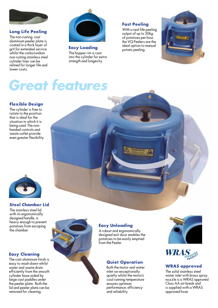

#### **Long Life Peeling**

The non-rusting, cast aluminium peeler plate is coated in a thick layer of grit for extended service whilst the carborundum, non-rusting stainless steel cylinder liner can be relined for longer life and lower costs.



**Easy Loading** The hopper rim is cast into the cylinder for extra strength and longevity.

#### **Fast Peeling**

With a real-life peeling output of up to 50kg of potatoes per hour, the VQ Peelers are the ideal option to manual potato peeling.



## **Great features**

#### **Flexible Design**

The cylinder is free to rotate to the position that is ideal for the situation in which it is being used. The nonhanded controls and waste outlet provide even greater flexibility.



#### **Steel Chamber Lid**

The stainless steel lid, with its ergonomically designed handle, is heavy enough to prevent potatoes from escaping the chamber.

#### **Easy Cleaning**

The cast aluminium finish is easy to wash down whilst water and waste drain efficiently from the smooth cylinder base aided by large cast paddles under the peeler plate. Both the lid and peeler plate can be removed for cleaning.



#### **Easy Unloading**

A robust and ergonomically designed exit door enables the potatoes to be easily emptied from the Peeler.

#### **Quiet Operation**

Both the motor and water inlet run exceptionally quietly whilst the motor's cool running temperature ensures optimum performance, efficiency and reliability.





#### **WRAS approved**

The solid stainless steel water inlet with brass spray nozzle is a WRAS approved Class AA air-break and is supplied with a WRAS approved hose.